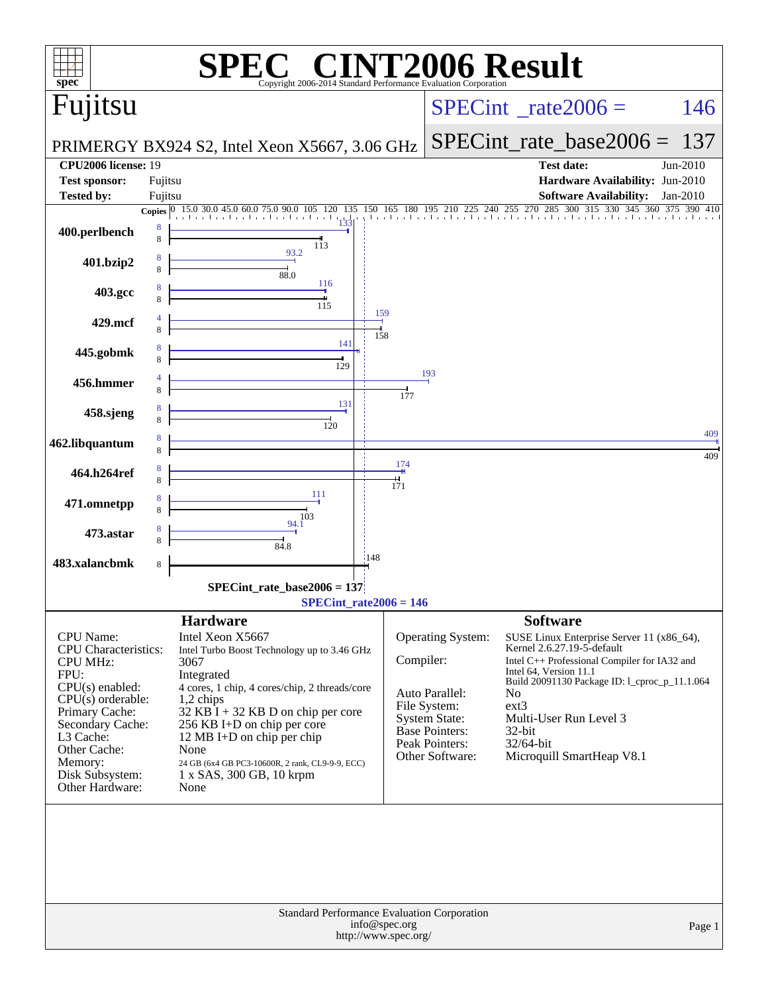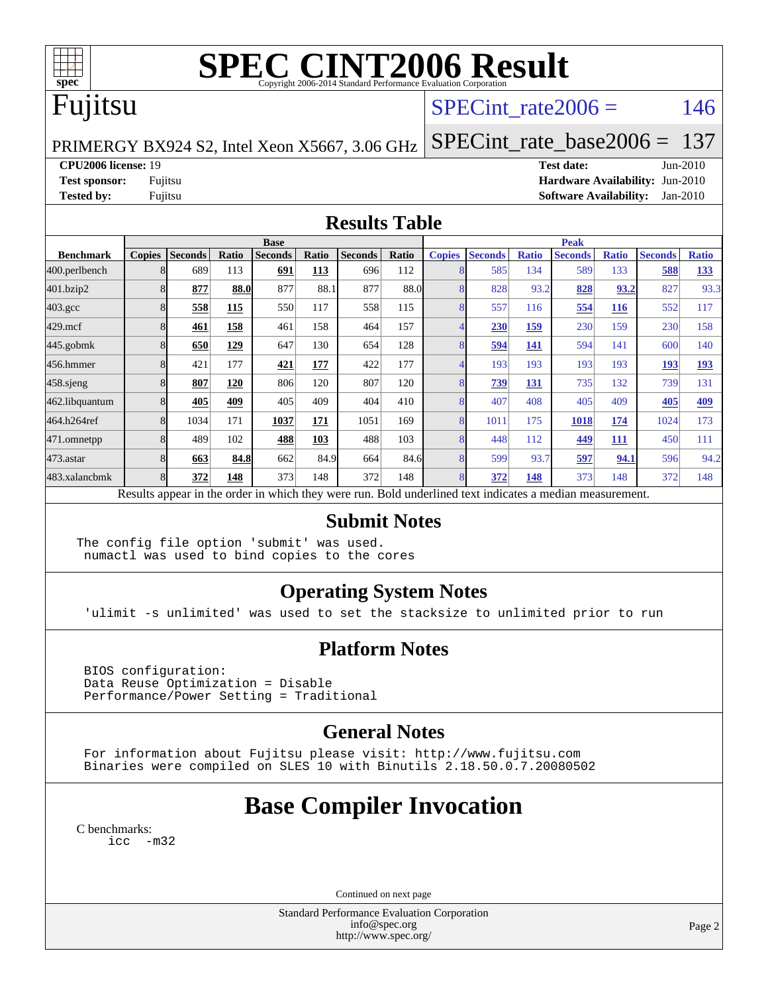

## **[SPEC CINT2006 Result](http://www.spec.org/auto/cpu2006/Docs/result-fields.html#SPECCINT2006Result)**

## Fujitsu

#### SPECint rate $2006 = 146$

PRIMERGY BX924 S2, Intel Xeon X5667, 3.06 GHz

[SPECint\\_rate\\_base2006 =](http://www.spec.org/auto/cpu2006/Docs/result-fields.html#SPECintratebase2006) 137

#### **[CPU2006 license:](http://www.spec.org/auto/cpu2006/Docs/result-fields.html#CPU2006license)** 19 **[Test date:](http://www.spec.org/auto/cpu2006/Docs/result-fields.html#Testdate)** Jun-2010

**[Test sponsor:](http://www.spec.org/auto/cpu2006/Docs/result-fields.html#Testsponsor)** Fujitsu **[Hardware Availability:](http://www.spec.org/auto/cpu2006/Docs/result-fields.html#HardwareAvailability)** Jun-2010 **[Tested by:](http://www.spec.org/auto/cpu2006/Docs/result-fields.html#Testedby)** Fujitsu **[Software Availability:](http://www.spec.org/auto/cpu2006/Docs/result-fields.html#SoftwareAvailability)** Jan-2010

#### **[Results Table](http://www.spec.org/auto/cpu2006/Docs/result-fields.html#ResultsTable)**

|                    | <b>Base</b>                                                                                              |                |              |                |       |                |       |               | <b>Peak</b>    |              |                |              |                |              |  |
|--------------------|----------------------------------------------------------------------------------------------------------|----------------|--------------|----------------|-------|----------------|-------|---------------|----------------|--------------|----------------|--------------|----------------|--------------|--|
| <b>Benchmark</b>   | <b>Copies</b>                                                                                            | <b>Seconds</b> | <b>Ratio</b> | <b>Seconds</b> | Ratio | <b>Seconds</b> | Ratio | <b>Copies</b> | <b>Seconds</b> | <b>Ratio</b> | <b>Seconds</b> | <b>Ratio</b> | <b>Seconds</b> | <b>Ratio</b> |  |
| 400.perlbench      | 8                                                                                                        | 689            | 113          | 691            | 113   | 696            | 112   | 8             | 585            | 134          | 589            | 133          | 588            | 133          |  |
| 401.bzip2          | 8                                                                                                        | 877            | 88.0         | 877            | 88.1  | 877            | 88.0  | 8             | 828            | 93.2         | 828            | 93.2         | 827            | 93.3         |  |
| $403.\mathrm{gcc}$ | 8                                                                                                        | 558            | 115          | 550            | 117   | 558            | 115   | 8             | 557            | 116          | 554            | 116          | 552            | 117          |  |
| $429$ .mcf         | 8                                                                                                        | 461            | 158          | 461            | 158   | 464            | 157   |               | 230            | 159          | 230            | 159          | 230            | 158          |  |
| $445$ .gobm $k$    | 8                                                                                                        | 650            | 129          | 647            | 130   | 654            | 128   |               | 594            | <u>141</u>   | 594            | 141          | 600            | 140          |  |
| 456.hmmer          | 8                                                                                                        | 421            | 177          | 421            | 177   | 422            | 177   | 4             | 193            | 193          | 193            | 193          | 193            | 193          |  |
| $458$ .sjeng       | 8                                                                                                        | 807            | 120          | 806            | 120   | 807            | 120   | 8             | 739            | 131          | 735            | 132          | 739            | 131          |  |
| 462.libquantum     | 8                                                                                                        | 405            | 409          | 405            | 409   | 404            | 410   | 8             | 407            | 408          | 405            | 409          | 405            | 409          |  |
| 464.h264ref        | 8                                                                                                        | 1034           | 171          | 1037           | 171   | 1051           | 169   | 8             | 1011           | 175          | 1018           | 174          | 1024           | 173          |  |
| 471.omnetpp        | 8                                                                                                        | 489            | 102          | 488            | 103   | 488            | 103   | 8             | 448            | 112          | 449            | <u>111</u>   | 450            | 111          |  |
| $473$ . astar      | 8                                                                                                        | 663            | 84.8         | 662            | 84.9  | 664            | 84.6  | 8             | 599            | 93.7         | 597            | 94.1         | 596            | 94.2         |  |
| 483.xalancbmk      | 8                                                                                                        | 372            | 148          | 373            | 148   | 372            | 148   | 8             | 372            | 148          | 373            | 148          | 372            | 148          |  |
|                    | Results appear in the order in which they were run. Bold underlined text indicates a median measurement. |                |              |                |       |                |       |               |                |              |                |              |                |              |  |

#### **[Submit Notes](http://www.spec.org/auto/cpu2006/Docs/result-fields.html#SubmitNotes)**

The config file option 'submit' was used. numactl was used to bind copies to the cores

#### **[Operating System Notes](http://www.spec.org/auto/cpu2006/Docs/result-fields.html#OperatingSystemNotes)**

'ulimit -s unlimited' was used to set the stacksize to unlimited prior to run

#### **[Platform Notes](http://www.spec.org/auto/cpu2006/Docs/result-fields.html#PlatformNotes)**

 BIOS configuration: Data Reuse Optimization = Disable Performance/Power Setting = Traditional

#### **[General Notes](http://www.spec.org/auto/cpu2006/Docs/result-fields.html#GeneralNotes)**

 For information about Fujitsu please visit: <http://www.fujitsu.com> Binaries were compiled on SLES 10 with Binutils 2.18.50.0.7.20080502

### **[Base Compiler Invocation](http://www.spec.org/auto/cpu2006/Docs/result-fields.html#BaseCompilerInvocation)**

[C benchmarks](http://www.spec.org/auto/cpu2006/Docs/result-fields.html#Cbenchmarks): [icc -m32](http://www.spec.org/cpu2006/results/res2010q3/cpu2006-20100716-12450.flags.html#user_CCbase_intel_icc_32bit_5ff4a39e364c98233615fdd38438c6f2)

Continued on next page

Standard Performance Evaluation Corporation [info@spec.org](mailto:info@spec.org) <http://www.spec.org/>

Page 2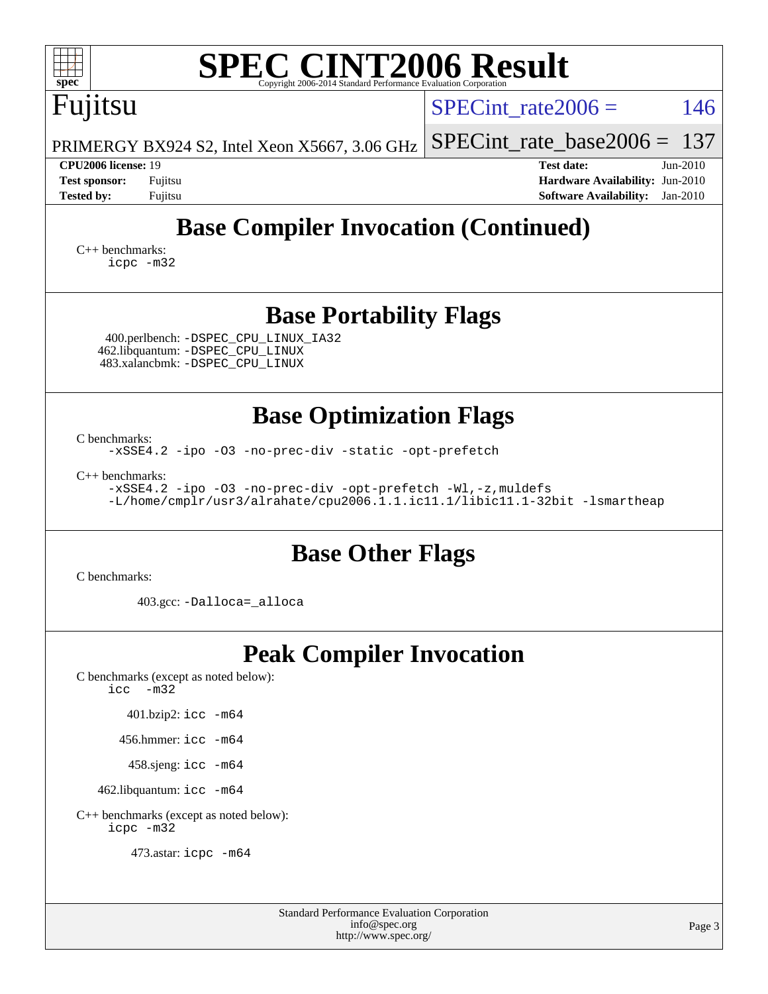| <b>SPEC CINT2006 Result</b><br>$spec^*$<br>Copyright 2006-2014 Standard Performance Evaluation Corporation                                                                                                                                                                 |                                                                                                                 |  |  |  |  |  |  |
|----------------------------------------------------------------------------------------------------------------------------------------------------------------------------------------------------------------------------------------------------------------------------|-----------------------------------------------------------------------------------------------------------------|--|--|--|--|--|--|
| Fujitsu                                                                                                                                                                                                                                                                    | 146<br>SPECint rate $2006 =$                                                                                    |  |  |  |  |  |  |
| PRIMERGY BX924 S2, Intel Xeon X5667, 3.06 GHz                                                                                                                                                                                                                              | $SPECint_rate_base2006 =$<br>137                                                                                |  |  |  |  |  |  |
| <b>CPU2006 license: 19</b><br><b>Test sponsor:</b><br>Fujitsu<br><b>Tested by:</b><br>Fujitsu                                                                                                                                                                              | <b>Test date:</b><br>Jun-2010<br>Hardware Availability: Jun-2010<br><b>Software Availability:</b><br>$Jan-2010$ |  |  |  |  |  |  |
| <b>Base Compiler Invocation (Continued)</b><br>$C_{++}$ benchmarks:<br>icpc -m32                                                                                                                                                                                           |                                                                                                                 |  |  |  |  |  |  |
| <b>Base Portability Flags</b><br>400.perlbench: -DSPEC_CPU_LINUX_IA32<br>462.libquantum: -DSPEC_CPU_LINUX<br>483.xalancbmk: - DSPEC CPU LINUX                                                                                                                              |                                                                                                                 |  |  |  |  |  |  |
| <b>Base Optimization Flags</b><br>C benchmarks:<br>-xSSE4.2 -ipo -03 -no-prec-div -static -opt-prefetch<br>$C++$ benchmarks:<br>-xSSE4.2 -ipo -03 -no-prec-div -opt-prefetch -Wl,-z, muldefs<br>-L/home/cmplr/usr3/alrahate/cpu2006.1.1.ic11.1/libic11.1-32bit -lsmartheap |                                                                                                                 |  |  |  |  |  |  |
| <b>Base Other Flags</b><br>C benchmarks:<br>403.gcc: -Dalloca=_alloca                                                                                                                                                                                                      |                                                                                                                 |  |  |  |  |  |  |
| <b>Peak Compiler Invocation</b><br>C benchmarks (except as noted below):<br>$-m32$<br>icc<br>$401.bzip2:$ icc $-m64$<br>456.hmmer: $\text{icc}$ -m64<br>458.sjeng: icc -m64<br>462.libquantum: icc -m64<br>C++ benchmarks (except as noted below):<br>icpc -m32            |                                                                                                                 |  |  |  |  |  |  |

473.astar: [icpc -m64](http://www.spec.org/cpu2006/results/res2010q3/cpu2006-20100716-12450.flags.html#user_peakCXXLD473_astar_intel_icpc_64bit_fc66a5337ce925472a5c54ad6a0de310)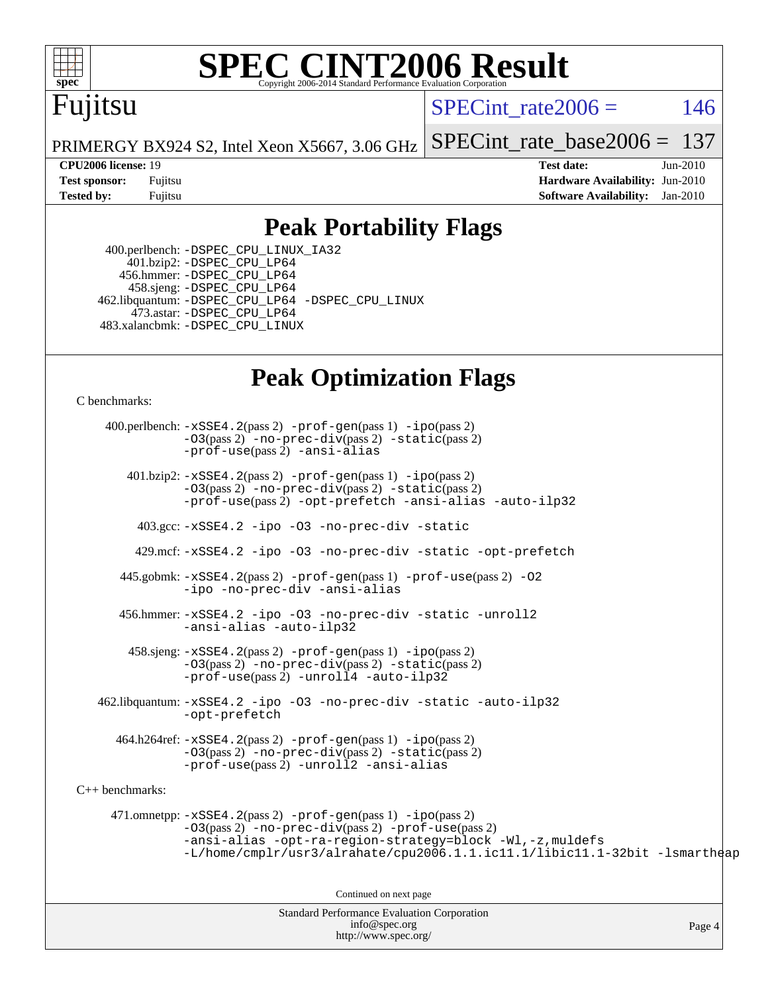

## **[SPEC CINT2006 Result](http://www.spec.org/auto/cpu2006/Docs/result-fields.html#SPECCINT2006Result)**

## Fujitsu

SPECint rate $2006 = 146$ 

PRIMERGY BX924 S2, Intel Xeon X5667, 3.06 GHz [SPECint\\_rate\\_base2006 =](http://www.spec.org/auto/cpu2006/Docs/result-fields.html#SPECintratebase2006) 137

**[CPU2006 license:](http://www.spec.org/auto/cpu2006/Docs/result-fields.html#CPU2006license)** 19 **[Test date:](http://www.spec.org/auto/cpu2006/Docs/result-fields.html#Testdate)** Jun-2010 **[Test sponsor:](http://www.spec.org/auto/cpu2006/Docs/result-fields.html#Testsponsor)** Fujitsu **[Hardware Availability:](http://www.spec.org/auto/cpu2006/Docs/result-fields.html#HardwareAvailability)** Jun-2010 **[Tested by:](http://www.spec.org/auto/cpu2006/Docs/result-fields.html#Testedby)** Fujitsu **[Software Availability:](http://www.spec.org/auto/cpu2006/Docs/result-fields.html#SoftwareAvailability)** Jan-2010

#### **[Peak Portability Flags](http://www.spec.org/auto/cpu2006/Docs/result-fields.html#PeakPortabilityFlags)**

 400.perlbench: [-DSPEC\\_CPU\\_LINUX\\_IA32](http://www.spec.org/cpu2006/results/res2010q3/cpu2006-20100716-12450.flags.html#b400.perlbench_peakCPORTABILITY_DSPEC_CPU_LINUX_IA32) 401.bzip2: [-DSPEC\\_CPU\\_LP64](http://www.spec.org/cpu2006/results/res2010q3/cpu2006-20100716-12450.flags.html#suite_peakCPORTABILITY401_bzip2_DSPEC_CPU_LP64) 456.hmmer: [-DSPEC\\_CPU\\_LP64](http://www.spec.org/cpu2006/results/res2010q3/cpu2006-20100716-12450.flags.html#suite_peakCPORTABILITY456_hmmer_DSPEC_CPU_LP64) 458.sjeng: [-DSPEC\\_CPU\\_LP64](http://www.spec.org/cpu2006/results/res2010q3/cpu2006-20100716-12450.flags.html#suite_peakCPORTABILITY458_sjeng_DSPEC_CPU_LP64) 462.libquantum: [-DSPEC\\_CPU\\_LP64](http://www.spec.org/cpu2006/results/res2010q3/cpu2006-20100716-12450.flags.html#suite_peakCPORTABILITY462_libquantum_DSPEC_CPU_LP64) [-DSPEC\\_CPU\\_LINUX](http://www.spec.org/cpu2006/results/res2010q3/cpu2006-20100716-12450.flags.html#b462.libquantum_peakCPORTABILITY_DSPEC_CPU_LINUX) 473.astar: [-DSPEC\\_CPU\\_LP64](http://www.spec.org/cpu2006/results/res2010q3/cpu2006-20100716-12450.flags.html#suite_peakCXXPORTABILITY473_astar_DSPEC_CPU_LP64) 483.xalancbmk: [-DSPEC\\_CPU\\_LINUX](http://www.spec.org/cpu2006/results/res2010q3/cpu2006-20100716-12450.flags.html#b483.xalancbmk_peakCXXPORTABILITY_DSPEC_CPU_LINUX)

### **[Peak Optimization Flags](http://www.spec.org/auto/cpu2006/Docs/result-fields.html#PeakOptimizationFlags)**

[C benchmarks](http://www.spec.org/auto/cpu2006/Docs/result-fields.html#Cbenchmarks):

Standard Performance Evaluation Corporation 400.perlbench: [-xSSE4.2](http://www.spec.org/cpu2006/results/res2010q3/cpu2006-20100716-12450.flags.html#user_peakPASS2_CFLAGSPASS2_LDCFLAGS400_perlbench_f-xSSE42_f91528193cf0b216347adb8b939d4107)(pass 2) [-prof-gen](http://www.spec.org/cpu2006/results/res2010q3/cpu2006-20100716-12450.flags.html#user_peakPASS1_CFLAGSPASS1_LDCFLAGS400_perlbench_prof_gen_e43856698f6ca7b7e442dfd80e94a8fc)(pass 1) [-ipo](http://www.spec.org/cpu2006/results/res2010q3/cpu2006-20100716-12450.flags.html#user_peakPASS2_CFLAGSPASS2_LDCFLAGS400_perlbench_f-ipo)(pass 2) [-O3](http://www.spec.org/cpu2006/results/res2010q3/cpu2006-20100716-12450.flags.html#user_peakPASS2_CFLAGSPASS2_LDCFLAGS400_perlbench_f-O3)(pass 2) [-no-prec-div](http://www.spec.org/cpu2006/results/res2010q3/cpu2006-20100716-12450.flags.html#user_peakPASS2_CFLAGSPASS2_LDCFLAGS400_perlbench_f-no-prec-div)(pass 2) [-static](http://www.spec.org/cpu2006/results/res2010q3/cpu2006-20100716-12450.flags.html#user_peakPASS2_CFLAGSPASS2_LDCFLAGS400_perlbench_f-static)(pass 2) [-prof-use](http://www.spec.org/cpu2006/results/res2010q3/cpu2006-20100716-12450.flags.html#user_peakPASS2_CFLAGSPASS2_LDCFLAGS400_perlbench_prof_use_bccf7792157ff70d64e32fe3e1250b55)(pass 2) [-ansi-alias](http://www.spec.org/cpu2006/results/res2010q3/cpu2006-20100716-12450.flags.html#user_peakCOPTIMIZE400_perlbench_f-ansi-alias) 401.bzip2: [-xSSE4.2](http://www.spec.org/cpu2006/results/res2010q3/cpu2006-20100716-12450.flags.html#user_peakPASS2_CFLAGSPASS2_LDCFLAGS401_bzip2_f-xSSE42_f91528193cf0b216347adb8b939d4107)(pass 2) [-prof-gen](http://www.spec.org/cpu2006/results/res2010q3/cpu2006-20100716-12450.flags.html#user_peakPASS1_CFLAGSPASS1_LDCFLAGS401_bzip2_prof_gen_e43856698f6ca7b7e442dfd80e94a8fc)(pass 1) [-ipo](http://www.spec.org/cpu2006/results/res2010q3/cpu2006-20100716-12450.flags.html#user_peakPASS2_CFLAGSPASS2_LDCFLAGS401_bzip2_f-ipo)(pass 2) [-O3](http://www.spec.org/cpu2006/results/res2010q3/cpu2006-20100716-12450.flags.html#user_peakPASS2_CFLAGSPASS2_LDCFLAGS401_bzip2_f-O3)(pass 2) [-no-prec-div](http://www.spec.org/cpu2006/results/res2010q3/cpu2006-20100716-12450.flags.html#user_peakPASS2_CFLAGSPASS2_LDCFLAGS401_bzip2_f-no-prec-div)(pass 2) [-static](http://www.spec.org/cpu2006/results/res2010q3/cpu2006-20100716-12450.flags.html#user_peakPASS2_CFLAGSPASS2_LDCFLAGS401_bzip2_f-static)(pass 2) [-prof-use](http://www.spec.org/cpu2006/results/res2010q3/cpu2006-20100716-12450.flags.html#user_peakPASS2_CFLAGSPASS2_LDCFLAGS401_bzip2_prof_use_bccf7792157ff70d64e32fe3e1250b55)(pass 2) [-opt-prefetch](http://www.spec.org/cpu2006/results/res2010q3/cpu2006-20100716-12450.flags.html#user_peakCOPTIMIZE401_bzip2_f-opt-prefetch) [-ansi-alias](http://www.spec.org/cpu2006/results/res2010q3/cpu2006-20100716-12450.flags.html#user_peakCOPTIMIZE401_bzip2_f-ansi-alias) [-auto-ilp32](http://www.spec.org/cpu2006/results/res2010q3/cpu2006-20100716-12450.flags.html#user_peakCOPTIMIZE401_bzip2_f-auto-ilp32) 403.gcc: [-xSSE4.2](http://www.spec.org/cpu2006/results/res2010q3/cpu2006-20100716-12450.flags.html#user_peakCOPTIMIZE403_gcc_f-xSSE42_f91528193cf0b216347adb8b939d4107) [-ipo](http://www.spec.org/cpu2006/results/res2010q3/cpu2006-20100716-12450.flags.html#user_peakCOPTIMIZE403_gcc_f-ipo) [-O3](http://www.spec.org/cpu2006/results/res2010q3/cpu2006-20100716-12450.flags.html#user_peakCOPTIMIZE403_gcc_f-O3) [-no-prec-div](http://www.spec.org/cpu2006/results/res2010q3/cpu2006-20100716-12450.flags.html#user_peakCOPTIMIZE403_gcc_f-no-prec-div) [-static](http://www.spec.org/cpu2006/results/res2010q3/cpu2006-20100716-12450.flags.html#user_peakCOPTIMIZE403_gcc_f-static) 429.mcf: [-xSSE4.2](http://www.spec.org/cpu2006/results/res2010q3/cpu2006-20100716-12450.flags.html#user_peakCOPTIMIZE429_mcf_f-xSSE42_f91528193cf0b216347adb8b939d4107) [-ipo](http://www.spec.org/cpu2006/results/res2010q3/cpu2006-20100716-12450.flags.html#user_peakCOPTIMIZE429_mcf_f-ipo) [-O3](http://www.spec.org/cpu2006/results/res2010q3/cpu2006-20100716-12450.flags.html#user_peakCOPTIMIZE429_mcf_f-O3) [-no-prec-div](http://www.spec.org/cpu2006/results/res2010q3/cpu2006-20100716-12450.flags.html#user_peakCOPTIMIZE429_mcf_f-no-prec-div) [-static](http://www.spec.org/cpu2006/results/res2010q3/cpu2006-20100716-12450.flags.html#user_peakCOPTIMIZE429_mcf_f-static) [-opt-prefetch](http://www.spec.org/cpu2006/results/res2010q3/cpu2006-20100716-12450.flags.html#user_peakCOPTIMIZE429_mcf_f-opt-prefetch) 445.gobmk: [-xSSE4.2](http://www.spec.org/cpu2006/results/res2010q3/cpu2006-20100716-12450.flags.html#user_peakPASS2_CFLAGSPASS2_LDCFLAGS445_gobmk_f-xSSE42_f91528193cf0b216347adb8b939d4107)(pass 2) [-prof-gen](http://www.spec.org/cpu2006/results/res2010q3/cpu2006-20100716-12450.flags.html#user_peakPASS1_CFLAGSPASS1_LDCFLAGS445_gobmk_prof_gen_e43856698f6ca7b7e442dfd80e94a8fc)(pass 1) [-prof-use](http://www.spec.org/cpu2006/results/res2010q3/cpu2006-20100716-12450.flags.html#user_peakPASS2_CFLAGSPASS2_LDCFLAGS445_gobmk_prof_use_bccf7792157ff70d64e32fe3e1250b55)(pass 2) [-O2](http://www.spec.org/cpu2006/results/res2010q3/cpu2006-20100716-12450.flags.html#user_peakCOPTIMIZE445_gobmk_f-O2) [-ipo](http://www.spec.org/cpu2006/results/res2010q3/cpu2006-20100716-12450.flags.html#user_peakCOPTIMIZE445_gobmk_f-ipo) [-no-prec-div](http://www.spec.org/cpu2006/results/res2010q3/cpu2006-20100716-12450.flags.html#user_peakCOPTIMIZE445_gobmk_f-no-prec-div) [-ansi-alias](http://www.spec.org/cpu2006/results/res2010q3/cpu2006-20100716-12450.flags.html#user_peakCOPTIMIZE445_gobmk_f-ansi-alias) 456.hmmer: [-xSSE4.2](http://www.spec.org/cpu2006/results/res2010q3/cpu2006-20100716-12450.flags.html#user_peakCOPTIMIZE456_hmmer_f-xSSE42_f91528193cf0b216347adb8b939d4107) [-ipo](http://www.spec.org/cpu2006/results/res2010q3/cpu2006-20100716-12450.flags.html#user_peakCOPTIMIZE456_hmmer_f-ipo) [-O3](http://www.spec.org/cpu2006/results/res2010q3/cpu2006-20100716-12450.flags.html#user_peakCOPTIMIZE456_hmmer_f-O3) [-no-prec-div](http://www.spec.org/cpu2006/results/res2010q3/cpu2006-20100716-12450.flags.html#user_peakCOPTIMIZE456_hmmer_f-no-prec-div) [-static](http://www.spec.org/cpu2006/results/res2010q3/cpu2006-20100716-12450.flags.html#user_peakCOPTIMIZE456_hmmer_f-static) [-unroll2](http://www.spec.org/cpu2006/results/res2010q3/cpu2006-20100716-12450.flags.html#user_peakCOPTIMIZE456_hmmer_f-unroll_784dae83bebfb236979b41d2422d7ec2) [-ansi-alias](http://www.spec.org/cpu2006/results/res2010q3/cpu2006-20100716-12450.flags.html#user_peakCOPTIMIZE456_hmmer_f-ansi-alias) [-auto-ilp32](http://www.spec.org/cpu2006/results/res2010q3/cpu2006-20100716-12450.flags.html#user_peakCOPTIMIZE456_hmmer_f-auto-ilp32)  $458 \text{.}$  sjeng:  $-xSSE4$ .  $2(\text{pass 2})$  -prof-qen(pass 1) [-ipo](http://www.spec.org/cpu2006/results/res2010q3/cpu2006-20100716-12450.flags.html#user_peakPASS2_CFLAGSPASS2_LDCFLAGS458_sjeng_f-ipo)(pass 2) [-O3](http://www.spec.org/cpu2006/results/res2010q3/cpu2006-20100716-12450.flags.html#user_peakPASS2_CFLAGSPASS2_LDCFLAGS458_sjeng_f-O3)(pass 2) [-no-prec-div](http://www.spec.org/cpu2006/results/res2010q3/cpu2006-20100716-12450.flags.html#user_peakPASS2_CFLAGSPASS2_LDCFLAGS458_sjeng_f-no-prec-div)(pass 2) [-static](http://www.spec.org/cpu2006/results/res2010q3/cpu2006-20100716-12450.flags.html#user_peakPASS2_CFLAGSPASS2_LDCFLAGS458_sjeng_f-static)(pass 2) [-prof-use](http://www.spec.org/cpu2006/results/res2010q3/cpu2006-20100716-12450.flags.html#user_peakPASS2_CFLAGSPASS2_LDCFLAGS458_sjeng_prof_use_bccf7792157ff70d64e32fe3e1250b55)(pass 2) [-unroll4](http://www.spec.org/cpu2006/results/res2010q3/cpu2006-20100716-12450.flags.html#user_peakCOPTIMIZE458_sjeng_f-unroll_4e5e4ed65b7fd20bdcd365bec371b81f) [-auto-ilp32](http://www.spec.org/cpu2006/results/res2010q3/cpu2006-20100716-12450.flags.html#user_peakCOPTIMIZE458_sjeng_f-auto-ilp32) 462.libquantum: [-xSSE4.2](http://www.spec.org/cpu2006/results/res2010q3/cpu2006-20100716-12450.flags.html#user_peakCOPTIMIZE462_libquantum_f-xSSE42_f91528193cf0b216347adb8b939d4107) [-ipo](http://www.spec.org/cpu2006/results/res2010q3/cpu2006-20100716-12450.flags.html#user_peakCOPTIMIZE462_libquantum_f-ipo) [-O3](http://www.spec.org/cpu2006/results/res2010q3/cpu2006-20100716-12450.flags.html#user_peakCOPTIMIZE462_libquantum_f-O3) [-no-prec-div](http://www.spec.org/cpu2006/results/res2010q3/cpu2006-20100716-12450.flags.html#user_peakCOPTIMIZE462_libquantum_f-no-prec-div) [-static](http://www.spec.org/cpu2006/results/res2010q3/cpu2006-20100716-12450.flags.html#user_peakCOPTIMIZE462_libquantum_f-static) [-auto-ilp32](http://www.spec.org/cpu2006/results/res2010q3/cpu2006-20100716-12450.flags.html#user_peakCOPTIMIZE462_libquantum_f-auto-ilp32) [-opt-prefetch](http://www.spec.org/cpu2006/results/res2010q3/cpu2006-20100716-12450.flags.html#user_peakCOPTIMIZE462_libquantum_f-opt-prefetch) 464.h264ref: [-xSSE4.2](http://www.spec.org/cpu2006/results/res2010q3/cpu2006-20100716-12450.flags.html#user_peakPASS2_CFLAGSPASS2_LDCFLAGS464_h264ref_f-xSSE42_f91528193cf0b216347adb8b939d4107)(pass 2) [-prof-gen](http://www.spec.org/cpu2006/results/res2010q3/cpu2006-20100716-12450.flags.html#user_peakPASS1_CFLAGSPASS1_LDCFLAGS464_h264ref_prof_gen_e43856698f6ca7b7e442dfd80e94a8fc)(pass 1) [-ipo](http://www.spec.org/cpu2006/results/res2010q3/cpu2006-20100716-12450.flags.html#user_peakPASS2_CFLAGSPASS2_LDCFLAGS464_h264ref_f-ipo)(pass 2) [-O3](http://www.spec.org/cpu2006/results/res2010q3/cpu2006-20100716-12450.flags.html#user_peakPASS2_CFLAGSPASS2_LDCFLAGS464_h264ref_f-O3)(pass 2) [-no-prec-div](http://www.spec.org/cpu2006/results/res2010q3/cpu2006-20100716-12450.flags.html#user_peakPASS2_CFLAGSPASS2_LDCFLAGS464_h264ref_f-no-prec-div)(pass 2) [-static](http://www.spec.org/cpu2006/results/res2010q3/cpu2006-20100716-12450.flags.html#user_peakPASS2_CFLAGSPASS2_LDCFLAGS464_h264ref_f-static)(pass 2) [-prof-use](http://www.spec.org/cpu2006/results/res2010q3/cpu2006-20100716-12450.flags.html#user_peakPASS2_CFLAGSPASS2_LDCFLAGS464_h264ref_prof_use_bccf7792157ff70d64e32fe3e1250b55)(pass 2) [-unroll2](http://www.spec.org/cpu2006/results/res2010q3/cpu2006-20100716-12450.flags.html#user_peakCOPTIMIZE464_h264ref_f-unroll_784dae83bebfb236979b41d2422d7ec2) [-ansi-alias](http://www.spec.org/cpu2006/results/res2010q3/cpu2006-20100716-12450.flags.html#user_peakCOPTIMIZE464_h264ref_f-ansi-alias) [C++ benchmarks:](http://www.spec.org/auto/cpu2006/Docs/result-fields.html#CXXbenchmarks) 471.omnetpp: [-xSSE4.2](http://www.spec.org/cpu2006/results/res2010q3/cpu2006-20100716-12450.flags.html#user_peakPASS2_CXXFLAGSPASS2_LDCXXFLAGS471_omnetpp_f-xSSE42_f91528193cf0b216347adb8b939d4107)(pass 2) [-prof-gen](http://www.spec.org/cpu2006/results/res2010q3/cpu2006-20100716-12450.flags.html#user_peakPASS1_CXXFLAGSPASS1_LDCXXFLAGS471_omnetpp_prof_gen_e43856698f6ca7b7e442dfd80e94a8fc)(pass 1) [-ipo](http://www.spec.org/cpu2006/results/res2010q3/cpu2006-20100716-12450.flags.html#user_peakPASS2_CXXFLAGSPASS2_LDCXXFLAGS471_omnetpp_f-ipo)(pass 2) [-O3](http://www.spec.org/cpu2006/results/res2010q3/cpu2006-20100716-12450.flags.html#user_peakPASS2_CXXFLAGSPASS2_LDCXXFLAGS471_omnetpp_f-O3)(pass 2) [-no-prec-div](http://www.spec.org/cpu2006/results/res2010q3/cpu2006-20100716-12450.flags.html#user_peakPASS2_CXXFLAGSPASS2_LDCXXFLAGS471_omnetpp_f-no-prec-div)(pass 2) [-prof-use](http://www.spec.org/cpu2006/results/res2010q3/cpu2006-20100716-12450.flags.html#user_peakPASS2_CXXFLAGSPASS2_LDCXXFLAGS471_omnetpp_prof_use_bccf7792157ff70d64e32fe3e1250b55)(pass 2) [-ansi-alias](http://www.spec.org/cpu2006/results/res2010q3/cpu2006-20100716-12450.flags.html#user_peakCXXOPTIMIZE471_omnetpp_f-ansi-alias) [-opt-ra-region-strategy=block](http://www.spec.org/cpu2006/results/res2010q3/cpu2006-20100716-12450.flags.html#user_peakCXXOPTIMIZE471_omnetpp_f-opt-ra-region-strategy-block_a0a37c372d03933b2a18d4af463c1f69) [-Wl,-z,muldefs](http://www.spec.org/cpu2006/results/res2010q3/cpu2006-20100716-12450.flags.html#user_peakEXTRA_LDFLAGS471_omnetpp_link_force_multiple1_74079c344b956b9658436fd1b6dd3a8a) [-L/home/cmplr/usr3/alrahate/cpu2006.1.1.ic11.1/libic11.1-32bit -lsmartheap](http://www.spec.org/cpu2006/results/res2010q3/cpu2006-20100716-12450.flags.html#user_peakEXTRA_LIBS471_omnetpp_SmartHeap_d86dffe4a79b79ef8890d5cce17030c3) Continued on next page

[info@spec.org](mailto:info@spec.org) <http://www.spec.org/>

Page 4